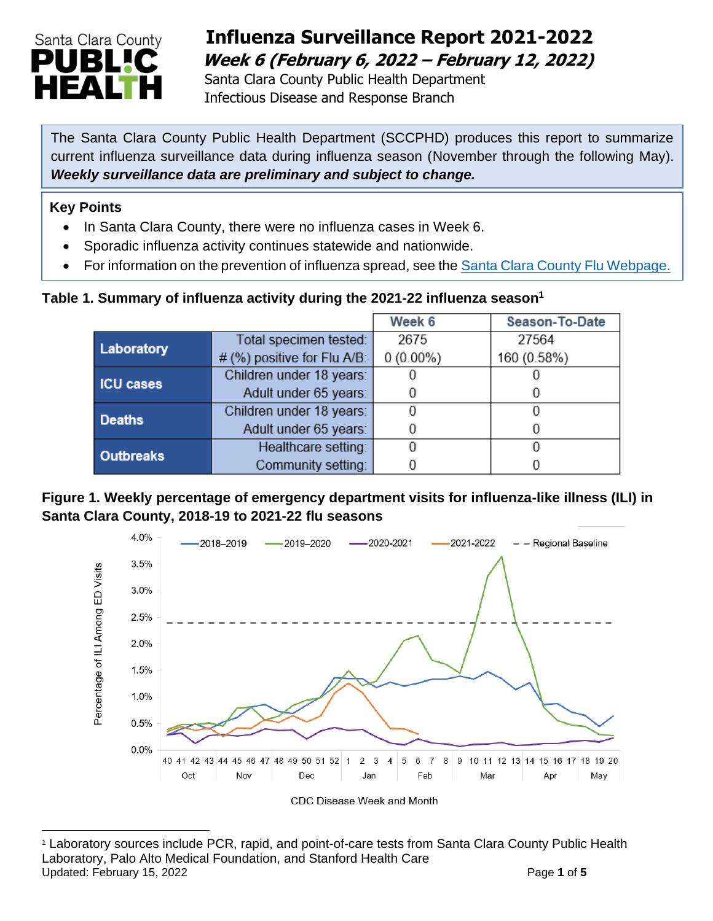

## **Influenza Surveillance Report 2021-2022 Week 6 (February 6, 2022 – February 12, 2022)**

 Santa Clara County Public Health Department Infectious Disease and Response Branch

The Santa Clara County Public Health Department (SCCPHD) produces this report to summarize current influenza surveillance data during influenza season (November through the following May). *Weekly surveillance data are preliminary and subject to change.*

#### **Key Points**

- In Santa Clara County, there were no influenza cases in Week 6.
- Sporadic influenza activity continues statewide and nationwide.
- For information on the prevention of influenza spread, see the [Santa Clara County Flu Webpage.](https://publichealth.sccgov.org/disease-information/influenza-flu)

#### **Table 1. Summary of influenza activity during the 2021-22 influenza season<sup>1</sup>**

|                  |                                | Week 6      | Season-To-Date |
|------------------|--------------------------------|-------------|----------------|
| Laboratory       | Total specimen tested:         | 2675        | 27564          |
|                  | # (%) positive for Flu $A/B$ : | $0(0.00\%)$ | 160 (0.58%)    |
| <b>ICU cases</b> | Children under 18 years:       |             |                |
|                  | Adult under 65 years:          |             |                |
| <b>Deaths</b>    | Children under 18 years:       |             |                |
|                  | Adult under 65 years:          |             |                |
| <b>Outbreaks</b> | Healthcare setting:            |             |                |
|                  | Community setting:             |             |                |

#### **Figure 1. Weekly percentage of emergency department visits for influenza-like illness (ILI) in Santa Clara County, 2018-19 to 2021-22 flu seasons**



<sup>1</sup> Laboratory sources include PCR, rapid, and point-of-care tests from Santa Clara County Public Health Laboratory, Palo Alto Medical Foundation, and Stanford Health Care Updated: February 15, 2022 **Page 1** of 5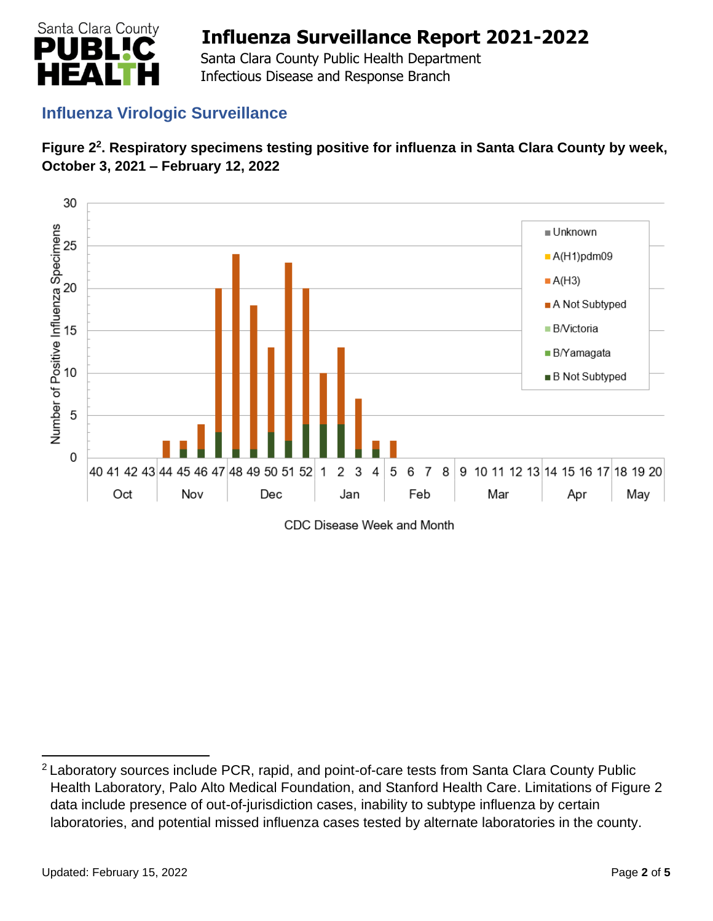

 Santa Clara County Public Health Department Infectious Disease and Response Branch

### **Influenza Virologic Surveillance**





CDC Disease Week and Month

<sup>&</sup>lt;sup>2</sup> Laboratory sources include PCR, rapid, and point-of-care tests from Santa Clara County Public Health Laboratory, Palo Alto Medical Foundation, and Stanford Health Care. Limitations of Figure 2 data include presence of out-of-jurisdiction cases, inability to subtype influenza by certain laboratories, and potential missed influenza cases tested by alternate laboratories in the county.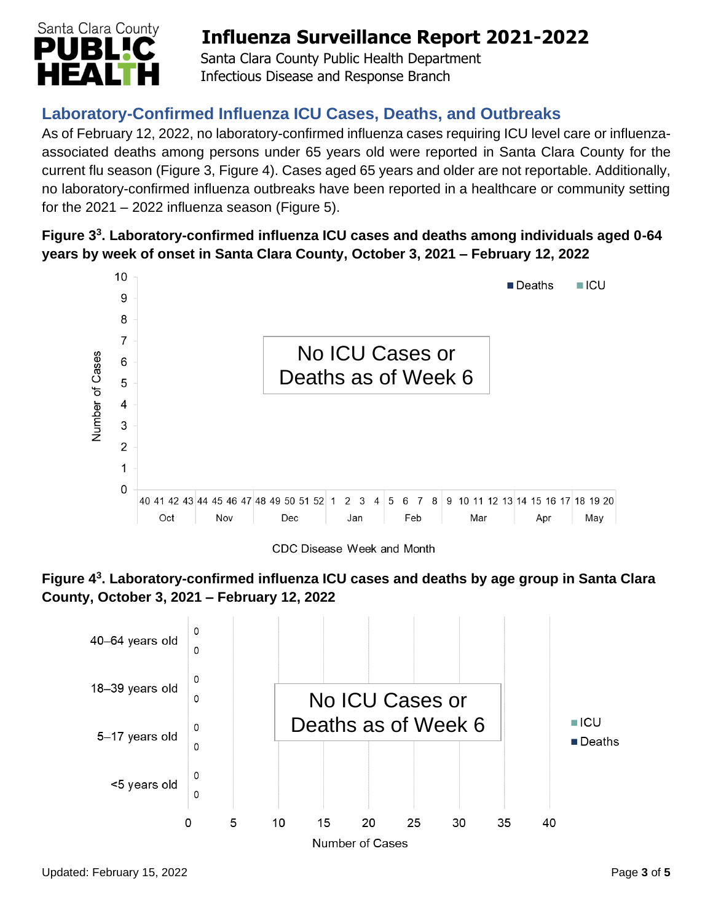

 Santa Clara County Public Health Department Infectious Disease and Response Branch

## **Laboratory-Confirmed Influenza ICU Cases, Deaths, and Outbreaks**

As of February 12, 2022, no laboratory-confirmed influenza cases requiring ICU level care or influenzaassociated deaths among persons under 65 years old were reported in Santa Clara County for the current flu season (Figure 3, Figure 4). Cases aged 65 years and older are not reportable. Additionally, no laboratory-confirmed influenza outbreaks have been reported in a healthcare or community setting for the  $2021 - 2022$  influenza season (Figure 5).

### **Figure 3 3 . Laboratory-confirmed influenza ICU cases and deaths among individuals aged 0-64 years by week of onset in Santa Clara County, October 3, 2021 – February 12, 2022**



CDC Disease Week and Month



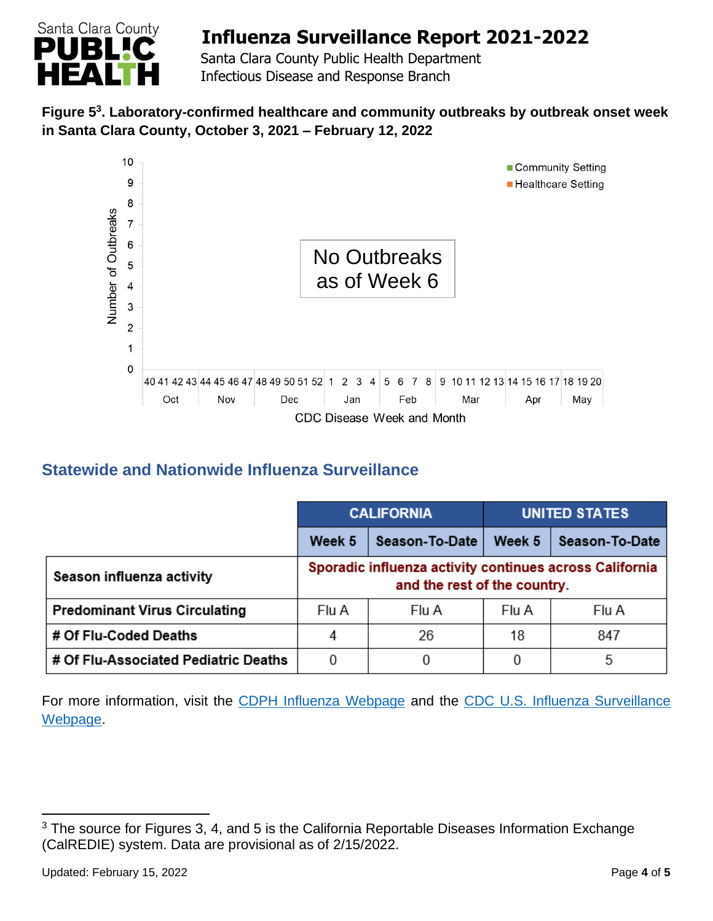

 Santa Clara County Public Health Department Infectious Disease and Response Branch

### **Figure 5 3 . Laboratory-confirmed healthcare and community outbreaks by outbreak onset week in Santa Clara County, October 3, 2021 – February 12, 2022**



### **Statewide and Nationwide Influenza Surveillance**

|                                      | <b>CALIFORNIA</b>                                                                       |                | <b>UNITED STATES</b> |                |
|--------------------------------------|-----------------------------------------------------------------------------------------|----------------|----------------------|----------------|
|                                      | Week 5                                                                                  | Season-To-Date | Week 5               | Season-To-Date |
| Season influenza activity            | Sporadic influenza activity continues across California<br>and the rest of the country. |                |                      |                |
| <b>Predominant Virus Circulating</b> | Flu A                                                                                   | Flu A          | Flu A                | Flu A          |
| # Of Flu-Coded Deaths                | 4                                                                                       | 26             | 18                   | 847            |
| # Of Flu-Associated Pediatric Deaths | 0                                                                                       | 0              |                      | 5              |

For more information, visit the [CDPH Influenza Webpage](http://www.cdph.ca.gov/Programs/CID/DCDC/Pages/Immunization/Influenza.aspx) and the CDC U.S. Influenza Surveillance [Webpage.](http://www.cdc.gov/flu/weekly/)

<sup>&</sup>lt;sup>3</sup> The source for Figures 3, 4, and 5 is the California Reportable Diseases Information Exchange (CalREDIE) system. Data are provisional as of 2/15/2022.